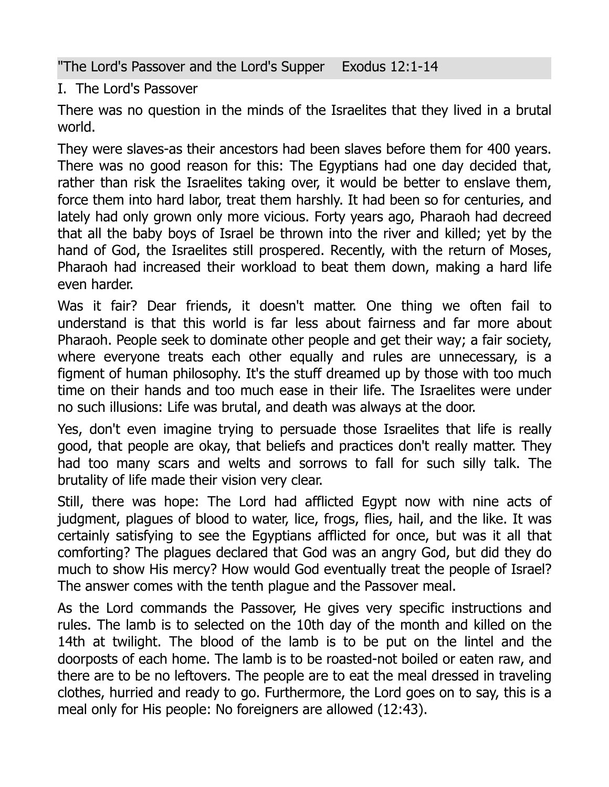"The Lord's Passover and the Lord's Supper Exodus 12:1-14

I. The Lord's Passover

There was no question in the minds of the Israelites that they lived in a brutal world.

They were slaves-as their ancestors had been slaves before them for 400 years. There was no good reason for this: The Egyptians had one day decided that, rather than risk the Israelites taking over, it would be better to enslave them, force them into hard labor, treat them harshly. It had been so for centuries, and lately had only grown only more vicious. Forty years ago, Pharaoh had decreed that all the baby boys of Israel be thrown into the river and killed; yet by the hand of God, the Israelites still prospered. Recently, with the return of Moses, Pharaoh had increased their workload to beat them down, making a hard life even harder.

Was it fair? Dear friends, it doesn't matter. One thing we often fail to understand is that this world is far less about fairness and far more about Pharaoh. People seek to dominate other people and get their way; a fair society, where everyone treats each other equally and rules are unnecessary, is a figment of human philosophy. It's the stuff dreamed up by those with too much time on their hands and too much ease in their life. The Israelites were under no such illusions: Life was brutal, and death was always at the door.

Yes, don't even imagine trying to persuade those Israelites that life is really good, that people are okay, that beliefs and practices don't really matter. They had too many scars and welts and sorrows to fall for such silly talk. The brutality of life made their vision very clear.

Still, there was hope: The Lord had afflicted Egypt now with nine acts of judgment, plagues of blood to water, lice, frogs, flies, hail, and the like. It was certainly satisfying to see the Egyptians afflicted for once, but was it all that comforting? The plagues declared that God was an angry God, but did they do much to show His mercy? How would God eventually treat the people of Israel? The answer comes with the tenth plague and the Passover meal.

As the Lord commands the Passover, He gives very specific instructions and rules. The lamb is to selected on the 10th day of the month and killed on the 14th at twilight. The blood of the lamb is to be put on the lintel and the doorposts of each home. The lamb is to be roasted-not boiled or eaten raw, and there are to be no leftovers. The people are to eat the meal dressed in traveling clothes, hurried and ready to go. Furthermore, the Lord goes on to say, this is a meal only for His people: No foreigners are allowed (12:43).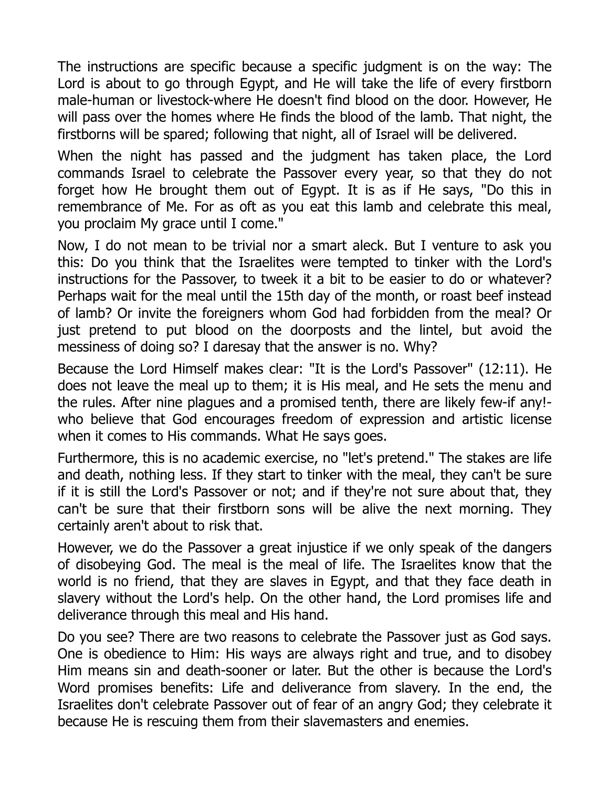The instructions are specific because a specific judgment is on the way: The Lord is about to go through Egypt, and He will take the life of every firstborn male-human or livestock-where He doesn't find blood on the door. However, He will pass over the homes where He finds the blood of the lamb. That night, the firstborns will be spared; following that night, all of Israel will be delivered.

When the night has passed and the judgment has taken place, the Lord commands Israel to celebrate the Passover every year, so that they do not forget how He brought them out of Egypt. It is as if He says, "Do this in remembrance of Me. For as oft as you eat this lamb and celebrate this meal, you proclaim My grace until I come."

Now, I do not mean to be trivial nor a smart aleck. But I venture to ask you this: Do you think that the Israelites were tempted to tinker with the Lord's instructions for the Passover, to tweek it a bit to be easier to do or whatever? Perhaps wait for the meal until the 15th day of the month, or roast beef instead of lamb? Or invite the foreigners whom God had forbidden from the meal? Or just pretend to put blood on the doorposts and the lintel, but avoid the messiness of doing so? I daresay that the answer is no. Why?

Because the Lord Himself makes clear: "It is the Lord's Passover" (12:11). He does not leave the meal up to them; it is His meal, and He sets the menu and the rules. After nine plagues and a promised tenth, there are likely few-if any! who believe that God encourages freedom of expression and artistic license when it comes to His commands. What He says goes.

Furthermore, this is no academic exercise, no "let's pretend." The stakes are life and death, nothing less. If they start to tinker with the meal, they can't be sure if it is still the Lord's Passover or not; and if they're not sure about that, they can't be sure that their firstborn sons will be alive the next morning. They certainly aren't about to risk that.

However, we do the Passover a great injustice if we only speak of the dangers of disobeying God. The meal is the meal of life. The Israelites know that the world is no friend, that they are slaves in Egypt, and that they face death in slavery without the Lord's help. On the other hand, the Lord promises life and deliverance through this meal and His hand.

Do you see? There are two reasons to celebrate the Passover just as God says. One is obedience to Him: His ways are always right and true, and to disobey Him means sin and death-sooner or later. But the other is because the Lord's Word promises benefits: Life and deliverance from slavery. In the end, the Israelites don't celebrate Passover out of fear of an angry God; they celebrate it because He is rescuing them from their slavemasters and enemies.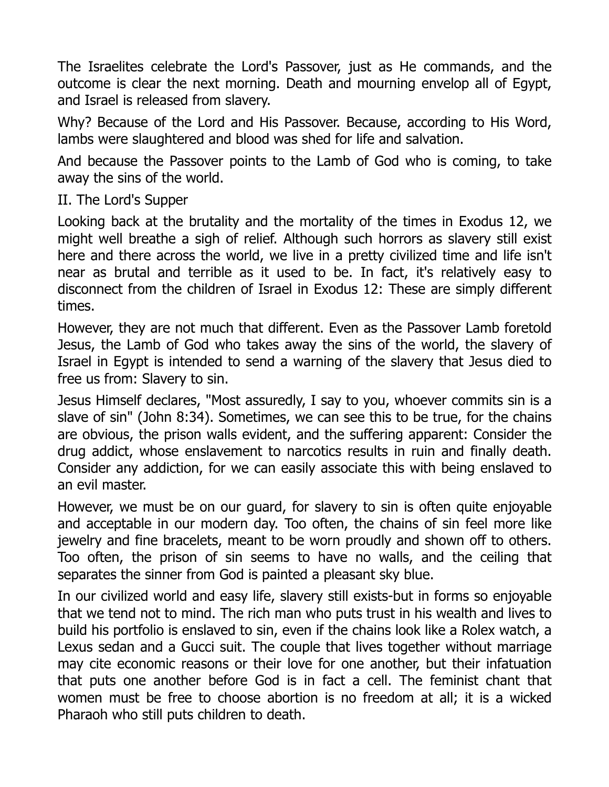The Israelites celebrate the Lord's Passover, just as He commands, and the outcome is clear the next morning. Death and mourning envelop all of Egypt, and Israel is released from slavery.

Why? Because of the Lord and His Passover. Because, according to His Word, lambs were slaughtered and blood was shed for life and salvation.

And because the Passover points to the Lamb of God who is coming, to take away the sins of the world.

## II. The Lord's Supper

Looking back at the brutality and the mortality of the times in Exodus 12, we might well breathe a sigh of relief. Although such horrors as slavery still exist here and there across the world, we live in a pretty civilized time and life isn't near as brutal and terrible as it used to be. In fact, it's relatively easy to disconnect from the children of Israel in Exodus 12: These are simply different times.

However, they are not much that different. Even as the Passover Lamb foretold Jesus, the Lamb of God who takes away the sins of the world, the slavery of Israel in Egypt is intended to send a warning of the slavery that Jesus died to free us from: Slavery to sin.

Jesus Himself declares, "Most assuredly, I say to you, whoever commits sin is a slave of sin" (John 8:34). Sometimes, we can see this to be true, for the chains are obvious, the prison walls evident, and the suffering apparent: Consider the drug addict, whose enslavement to narcotics results in ruin and finally death. Consider any addiction, for we can easily associate this with being enslaved to an evil master.

However, we must be on our guard, for slavery to sin is often quite enjoyable and acceptable in our modern day. Too often, the chains of sin feel more like jewelry and fine bracelets, meant to be worn proudly and shown off to others. Too often, the prison of sin seems to have no walls, and the ceiling that separates the sinner from God is painted a pleasant sky blue.

In our civilized world and easy life, slavery still exists-but in forms so enjoyable that we tend not to mind. The rich man who puts trust in his wealth and lives to build his portfolio is enslaved to sin, even if the chains look like a Rolex watch, a Lexus sedan and a Gucci suit. The couple that lives together without marriage may cite economic reasons or their love for one another, but their infatuation that puts one another before God is in fact a cell. The feminist chant that women must be free to choose abortion is no freedom at all; it is a wicked Pharaoh who still puts children to death.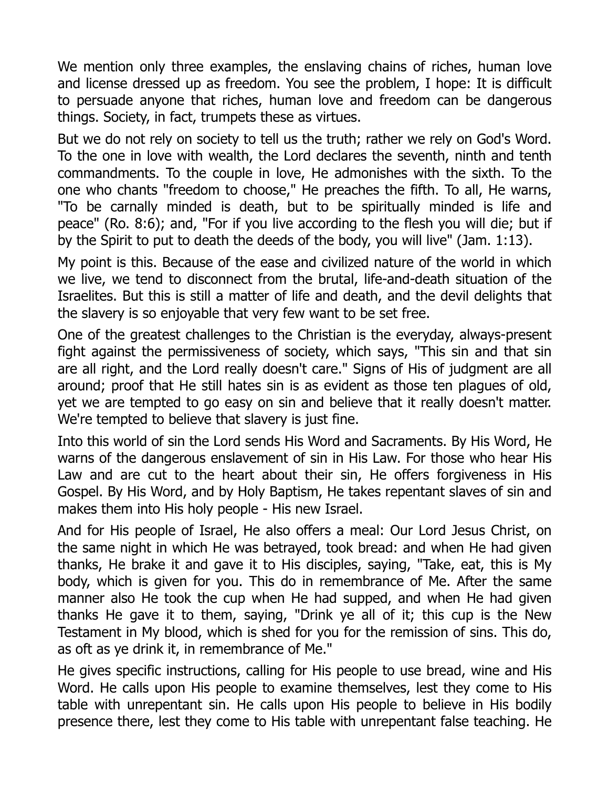We mention only three examples, the enslaving chains of riches, human love and license dressed up as freedom. You see the problem, I hope: It is difficult to persuade anyone that riches, human love and freedom can be dangerous things. Society, in fact, trumpets these as virtues.

But we do not rely on society to tell us the truth; rather we rely on God's Word. To the one in love with wealth, the Lord declares the seventh, ninth and tenth commandments. To the couple in love, He admonishes with the sixth. To the one who chants "freedom to choose," He preaches the fifth. To all, He warns, "To be carnally minded is death, but to be spiritually minded is life and peace" (Ro. 8:6); and, "For if you live according to the flesh you will die; but if by the Spirit to put to death the deeds of the body, you will live" (Jam. 1:13).

My point is this. Because of the ease and civilized nature of the world in which we live, we tend to disconnect from the brutal, life-and-death situation of the Israelites. But this is still a matter of life and death, and the devil delights that the slavery is so enjoyable that very few want to be set free.

One of the greatest challenges to the Christian is the everyday, always-present fight against the permissiveness of society, which says, "This sin and that sin are all right, and the Lord really doesn't care." Signs of His of judgment are all around; proof that He still hates sin is as evident as those ten plagues of old, yet we are tempted to go easy on sin and believe that it really doesn't matter. We're tempted to believe that slavery is just fine.

Into this world of sin the Lord sends His Word and Sacraments. By His Word, He warns of the dangerous enslavement of sin in His Law. For those who hear His Law and are cut to the heart about their sin, He offers forgiveness in His Gospel. By His Word, and by Holy Baptism, He takes repentant slaves of sin and makes them into His holy people - His new Israel.

And for His people of Israel, He also offers a meal: Our Lord Jesus Christ, on the same night in which He was betrayed, took bread: and when He had given thanks, He brake it and gave it to His disciples, saying, "Take, eat, this is My body, which is given for you. This do in remembrance of Me. After the same manner also He took the cup when He had supped, and when He had given thanks He gave it to them, saying, "Drink ye all of it; this cup is the New Testament in My blood, which is shed for you for the remission of sins. This do, as oft as ye drink it, in remembrance of Me."

He gives specific instructions, calling for His people to use bread, wine and His Word. He calls upon His people to examine themselves, lest they come to His table with unrepentant sin. He calls upon His people to believe in His bodily presence there, lest they come to His table with unrepentant false teaching. He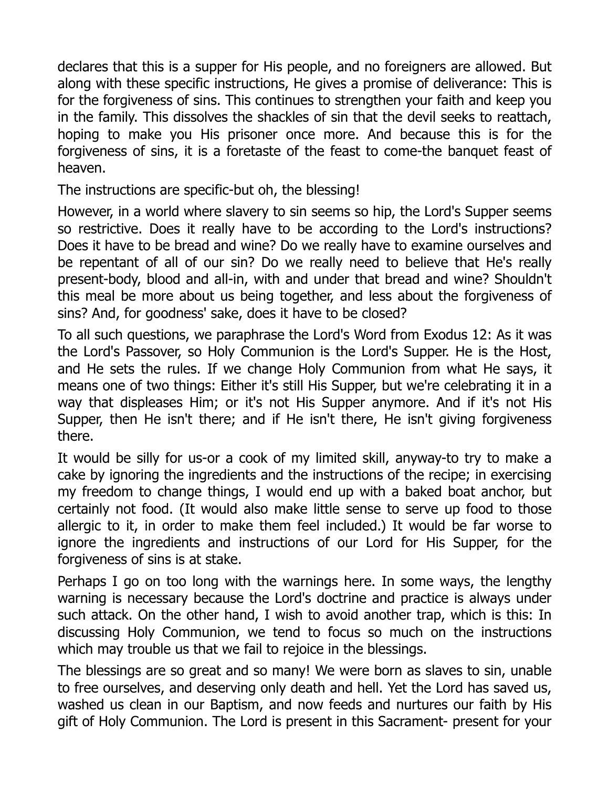declares that this is a supper for His people, and no foreigners are allowed. But along with these specific instructions, He gives a promise of deliverance: This is for the forgiveness of sins. This continues to strengthen your faith and keep you in the family. This dissolves the shackles of sin that the devil seeks to reattach, hoping to make you His prisoner once more. And because this is for the forgiveness of sins, it is a foretaste of the feast to come-the banquet feast of heaven.

The instructions are specific-but oh, the blessing!

However, in a world where slavery to sin seems so hip, the Lord's Supper seems so restrictive. Does it really have to be according to the Lord's instructions? Does it have to be bread and wine? Do we really have to examine ourselves and be repentant of all of our sin? Do we really need to believe that He's really present-body, blood and all-in, with and under that bread and wine? Shouldn't this meal be more about us being together, and less about the forgiveness of sins? And, for goodness' sake, does it have to be closed?

To all such questions, we paraphrase the Lord's Word from Exodus 12: As it was the Lord's Passover, so Holy Communion is the Lord's Supper. He is the Host, and He sets the rules. If we change Holy Communion from what He says, it means one of two things: Either it's still His Supper, but we're celebrating it in a way that displeases Him; or it's not His Supper anymore. And if it's not His Supper, then He isn't there; and if He isn't there, He isn't giving forgiveness there.

It would be silly for us-or a cook of my limited skill, anyway-to try to make a cake by ignoring the ingredients and the instructions of the recipe; in exercising my freedom to change things, I would end up with a baked boat anchor, but certainly not food. (It would also make little sense to serve up food to those allergic to it, in order to make them feel included.) It would be far worse to ignore the ingredients and instructions of our Lord for His Supper, for the forgiveness of sins is at stake.

Perhaps I go on too long with the warnings here. In some ways, the lengthy warning is necessary because the Lord's doctrine and practice is always under such attack. On the other hand, I wish to avoid another trap, which is this: In discussing Holy Communion, we tend to focus so much on the instructions which may trouble us that we fail to rejoice in the blessings.

The blessings are so great and so many! We were born as slaves to sin, unable to free ourselves, and deserving only death and hell. Yet the Lord has saved us, washed us clean in our Baptism, and now feeds and nurtures our faith by His gift of Holy Communion. The Lord is present in this Sacrament- present for your